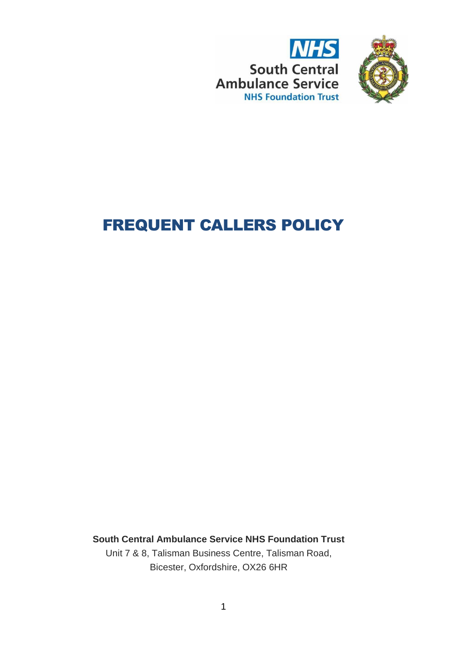



# FREQUENT CALLERS POLICY

**South Central Ambulance Service NHS Foundation Trust**

Unit 7 & 8, Talisman Business Centre, Talisman Road, Bicester, Oxfordshire, OX26 6HR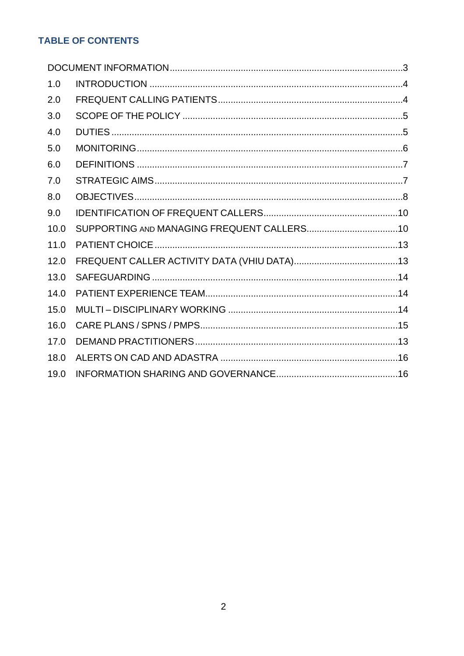# **TABLE OF CONTENTS**

| 1.0  |  |
|------|--|
| 2.0  |  |
| 3.0  |  |
| 4.0  |  |
| 5.0  |  |
| 6.0  |  |
| 7.0  |  |
| 8.0  |  |
| 9.0  |  |
| 10.0 |  |
| 11.0 |  |
| 12.0 |  |
| 13.0 |  |
| 14.0 |  |
| 15.0 |  |
| 16.0 |  |
| 17.0 |  |
| 18.0 |  |
| 19.0 |  |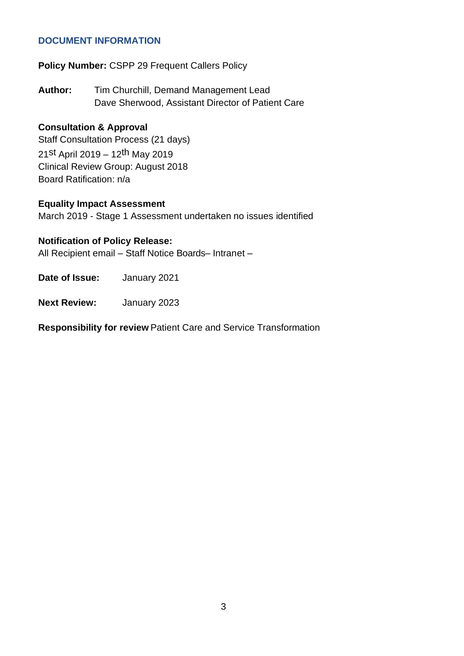#### <span id="page-2-0"></span>**DOCUMENT INFORMATION**

**Policy Number:** CSPP 29 Frequent Callers Policy

**Author:** Tim Churchill, Demand Management Lead Dave Sherwood, Assistant Director of Patient Care

## **Consultation & Approval**

Staff Consultation Process (21 days) 21st April 2019 – 12th May 2019 Clinical Review Group: August 2018 Board Ratification: n/a

## **Equality Impact Assessment**

March 2019 - Stage 1 Assessment undertaken no issues identified

#### **Notification of Policy Release:**

All Recipient email – Staff Notice Boards– Intranet –

**Date of Issue:** January 2021

**Next Review:** January 2023

**Responsibility for review** Patient Care and Service Transformation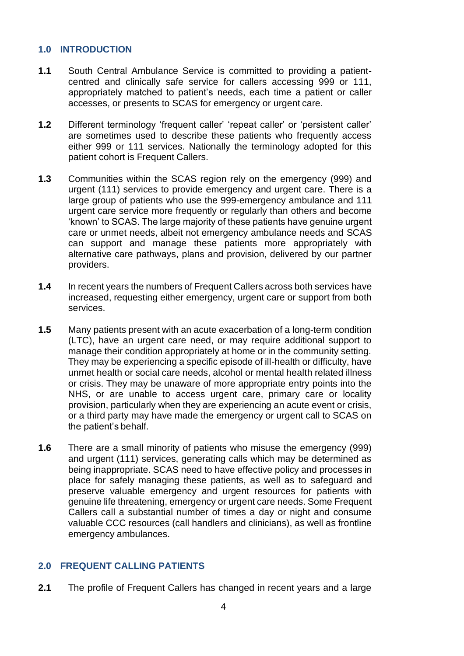## <span id="page-3-0"></span>**1.0 INTRODUCTION**

- **1.1** South Central Ambulance Service is committed to providing a patientcentred and clinically safe service for callers accessing 999 or 111, appropriately matched to patient's needs, each time a patient or caller accesses, or presents to SCAS for emergency or urgent care.
- **1.2** Different terminology 'frequent caller' 'repeat caller' or 'persistent caller' are sometimes used to describe these patients who frequently access either 999 or 111 services. Nationally the terminology adopted for this patient cohort is Frequent Callers.
- **1.3** Communities within the SCAS region rely on the emergency (999) and urgent (111) services to provide emergency and urgent care. There is a large group of patients who use the 999-emergency ambulance and 111 urgent care service more frequently or regularly than others and become 'known' to SCAS. The large majority of these patients have genuine urgent care or unmet needs, albeit not emergency ambulance needs and SCAS can support and manage these patients more appropriately with alternative care pathways, plans and provision, delivered by our partner providers.
- **1.4** In recent years the numbers of Frequent Callers across both services have increased, requesting either emergency, urgent care or support from both services.
- **1.5** Many patients present with an acute exacerbation of a long-term condition (LTC), have an urgent care need, or may require additional support to manage their condition appropriately at home or in the community setting. They may be experiencing a specific episode of ill-health or difficulty, have unmet health or social care needs, alcohol or mental health related illness or crisis. They may be unaware of more appropriate entry points into the NHS, or are unable to access urgent care, primary care or locality provision, particularly when they are experiencing an acute event or crisis, or a third party may have made the emergency or urgent call to SCAS on the patient's behalf.
- **1.6** There are a small minority of patients who misuse the emergency (999) and urgent (111) services, generating calls which may be determined as being inappropriate. SCAS need to have effective policy and processes in place for safely managing these patients, as well as to safeguard and preserve valuable emergency and urgent resources for patients with genuine life threatening, emergency or urgent care needs. Some Frequent Callers call a substantial number of times a day or night and consume valuable CCC resources (call handlers and clinicians), as well as frontline emergency ambulances.

# <span id="page-3-1"></span>**2.0 FREQUENT CALLING PATIENTS**

**2.1** The profile of Frequent Callers has changed in recent years and a large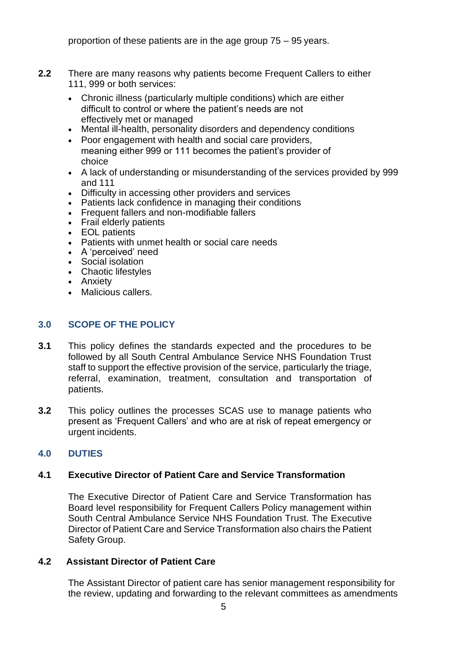proportion of these patients are in the age group 75 – 95 years.

- **2.2** There are many reasons why patients become Frequent Callers to either 111, 999 or both services:
	- Chronic illness (particularly multiple conditions) which are either difficult to control or where the patient's needs are not effectively met or managed
	- Mental ill-health, personality disorders and dependency conditions
	- Poor engagement with health and social care providers, meaning either 999 or 111 becomes the patient's provider of choice
	- A lack of understanding or misunderstanding of the services provided by 999 and 111
	- Difficulty in accessing other providers and services
	- Patients lack confidence in managing their conditions
	- Frequent fallers and non-modifiable fallers
	- Frail elderly patients
	- EOL patients
	- Patients with unmet health or social care needs
	- A 'perceived' need
	- Social isolation
	- Chaotic lifestyles
	- Anxiety
	- Malicious callers.

# <span id="page-4-0"></span>**3.0 SCOPE OF THE POLICY**

- **3.1** This policy defines the standards expected and the procedures to be followed by all South Central Ambulance Service NHS Foundation Trust staff to support the effective provision of the service, particularly the triage, referral, examination, treatment, consultation and transportation of patients.
- **3.2** This policy outlines the processes SCAS use to manage patients who present as 'Frequent Callers' and who are at risk of repeat emergency or urgent incidents.

# <span id="page-4-1"></span>**4.0 DUTIES**

# **4.1 Executive Director of Patient Care and Service Transformation**

The Executive Director of Patient Care and Service Transformation has Board level responsibility for Frequent Callers Policy management within South Central Ambulance Service NHS Foundation Trust. The Executive Director of Patient Care and Service Transformation also chairs the Patient Safety Group.

# **4.2 Assistant Director of Patient Care**

The Assistant Director of patient care has senior management responsibility for the review, updating and forwarding to the relevant committees as amendments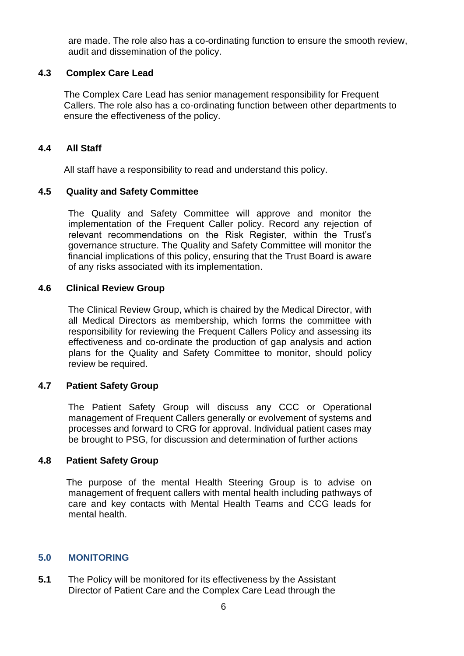are made. The role also has a co-ordinating function to ensure the smooth review, audit and dissemination of the policy.

## **4.3 Complex Care Lead**

The Complex Care Lead has senior management responsibility for Frequent Callers. The role also has a co-ordinating function between other departments to ensure the effectiveness of the policy.

## **4.4 All Staff**

All staff have a responsibility to read and understand this policy.

## **4.5 Quality and Safety Committee**

The Quality and Safety Committee will approve and monitor the implementation of the Frequent Caller policy. Record any rejection of relevant recommendations on the Risk Register, within the Trust's governance structure. The Quality and Safety Committee will monitor the financial implications of this policy, ensuring that the Trust Board is aware of any risks associated with its implementation.

## **4.6 Clinical Review Group**

The Clinical Review Group, which is chaired by the Medical Director, with all Medical Directors as membership, which forms the committee with responsibility for reviewing the Frequent Callers Policy and assessing its effectiveness and co-ordinate the production of gap analysis and action plans for the Quality and Safety Committee to monitor, should policy review be required.

# **4.7 Patient Safety Group**

The Patient Safety Group will discuss any CCC or Operational management of Frequent Callers generally or evolvement of systems and processes and forward to CRG for approval. Individual patient cases may be brought to PSG, for discussion and determination of further actions

# **4.8 Patient Safety Group**

The purpose of the mental Health Steering Group is to advise on management of frequent callers with mental health including pathways of care and key contacts with Mental Health Teams and CCG leads for mental health.

# <span id="page-5-0"></span>**5.0 MONITORING**

**5.1** The Policy will be monitored for its effectiveness by the Assistant Director of Patient Care and the Complex Care Lead through the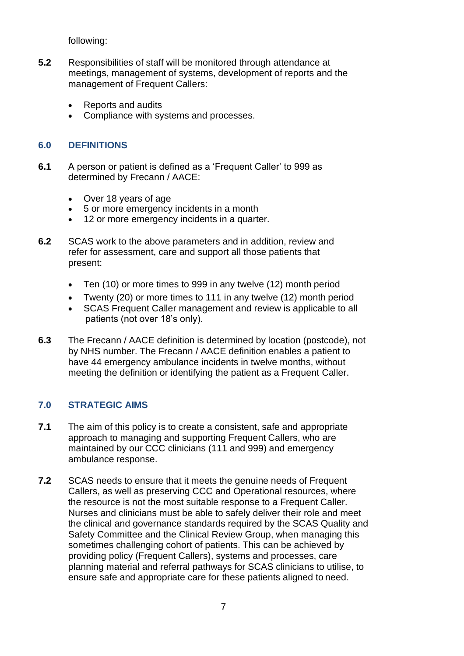following:

- **5.2** Responsibilities of staff will be monitored through attendance at meetings, management of systems, development of reports and the management of Frequent Callers:
	- Reports and audits
	- Compliance with systems and processes.

## <span id="page-6-0"></span>**6.0 DEFINITIONS**

- **6.1** A person or patient is defined as a 'Frequent Caller' to 999 as determined by Frecann / AACE:
	- Over 18 years of age
	- 5 or more emergency incidents in a month
	- 12 or more emergency incidents in a quarter.
- **6.2** SCAS work to the above parameters and in addition, review and refer for assessment, care and support all those patients that present:
	- Ten (10) or more times to 999 in any twelve (12) month period
	- Twenty (20) or more times to 111 in any twelve (12) month period
	- SCAS Frequent Caller management and review is applicable to all patients (not over 18's only).
- **6.3** The Frecann / AACE definition is determined by location (postcode), not by NHS number. The Frecann / AACE definition enables a patient to have 44 emergency ambulance incidents in twelve months, without meeting the definition or identifying the patient as a Frequent Caller.

# <span id="page-6-1"></span>**7.0 STRATEGIC AIMS**

- **7.1** The aim of this policy is to create a consistent, safe and appropriate approach to managing and supporting Frequent Callers, who are maintained by our CCC clinicians (111 and 999) and emergency ambulance response.
- **7.2** SCAS needs to ensure that it meets the genuine needs of Frequent Callers, as well as preserving CCC and Operational resources, where the resource is not the most suitable response to a Frequent Caller. Nurses and clinicians must be able to safely deliver their role and meet the clinical and governance standards required by the SCAS Quality and Safety Committee and the Clinical Review Group, when managing this sometimes challenging cohort of patients. This can be achieved by providing policy (Frequent Callers), systems and processes, care planning material and referral pathways for SCAS clinicians to utilise, to ensure safe and appropriate care for these patients aligned to need.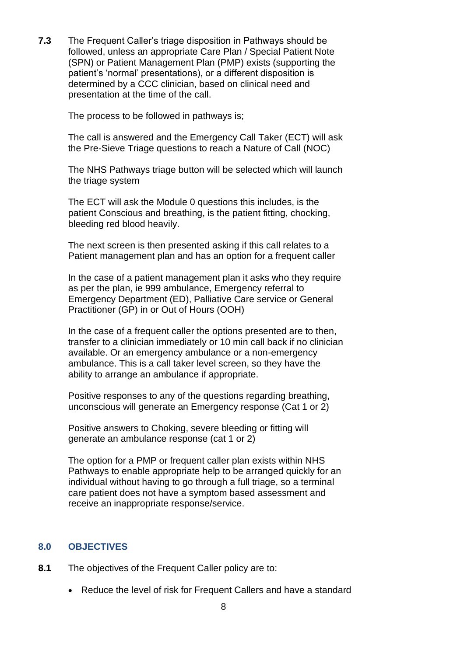**7.3** The Frequent Caller's triage disposition in Pathways should be followed, unless an appropriate Care Plan / Special Patient Note (SPN) or Patient Management Plan (PMP) exists (supporting the patient's 'normal' presentations), or a different disposition is determined by a CCC clinician, based on clinical need and presentation at the time of the call.

The process to be followed in pathways is;

The call is answered and the Emergency Call Taker (ECT) will ask the Pre-Sieve Triage questions to reach a Nature of Call (NOC)

The NHS Pathways triage button will be selected which will launch the triage system

The ECT will ask the Module 0 questions this includes, is the patient Conscious and breathing, is the patient fitting, chocking, bleeding red blood heavily.

The next screen is then presented asking if this call relates to a Patient management plan and has an option for a frequent caller

In the case of a patient management plan it asks who they require as per the plan, ie 999 ambulance, Emergency referral to Emergency Department (ED), Palliative Care service or General Practitioner (GP) in or Out of Hours (OOH)

In the case of a frequent caller the options presented are to then, transfer to a clinician immediately or 10 min call back if no clinician available. Or an emergency ambulance or a non-emergency ambulance. This is a call taker level screen, so they have the ability to arrange an ambulance if appropriate.

Positive responses to any of the questions regarding breathing, unconscious will generate an Emergency response (Cat 1 or 2)

Positive answers to Choking, severe bleeding or fitting will generate an ambulance response (cat 1 or 2)

The option for a PMP or frequent caller plan exists within NHS Pathways to enable appropriate help to be arranged quickly for an individual without having to go through a full triage, so a terminal care patient does not have a symptom based assessment and receive an inappropriate response/service.

# <span id="page-7-0"></span>**8.0 OBJECTIVES**

- **8.1** The objectives of the Frequent Caller policy are to:
	- Reduce the level of risk for Frequent Callers and have a standard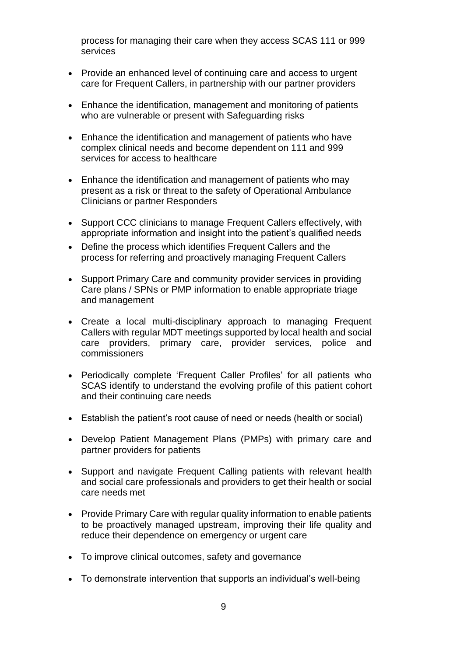process for managing their care when they access SCAS 111 or 999 services

- Provide an enhanced level of continuing care and access to urgent care for Frequent Callers, in partnership with our partner providers
- Enhance the identification, management and monitoring of patients who are vulnerable or present with Safeguarding risks
- Enhance the identification and management of patients who have complex clinical needs and become dependent on 111 and 999 services for access to healthcare
- Enhance the identification and management of patients who may present as a risk or threat to the safety of Operational Ambulance Clinicians or partner Responders
- Support CCC clinicians to manage Frequent Callers effectively, with appropriate information and insight into the patient's qualified needs
- Define the process which identifies Frequent Callers and the process for referring and proactively managing Frequent Callers
- Support Primary Care and community provider services in providing Care plans / SPNs or PMP information to enable appropriate triage and management
- Create a local multi-disciplinary approach to managing Frequent Callers with regular MDT meetings supported by local health and social care providers, primary care, provider services, police and commissioners
- Periodically complete 'Frequent Caller Profiles' for all patients who SCAS identify to understand the evolving profile of this patient cohort and their continuing care needs
- Establish the patient's root cause of need or needs (health or social)
- Develop Patient Management Plans (PMPs) with primary care and partner providers for patients
- Support and navigate Frequent Calling patients with relevant health and social care professionals and providers to get their health or social care needs met
- Provide Primary Care with regular quality information to enable patients to be proactively managed upstream, improving their life quality and reduce their dependence on emergency or urgent care
- To improve clinical outcomes, safety and governance
- To demonstrate intervention that supports an individual's well-being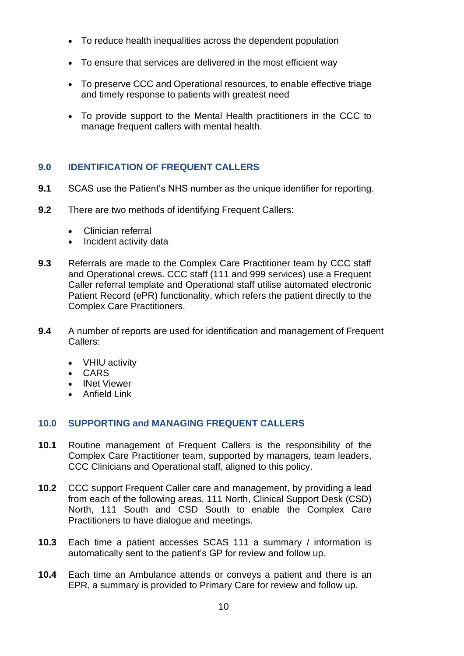- To reduce health inequalities across the dependent population
- To ensure that services are delivered in the most efficient way
- To preserve CCC and Operational resources, to enable effective triage and timely response to patients with greatest need
- To provide support to the Mental Health practitioners in the CCC to manage frequent callers with mental health.

# <span id="page-9-0"></span>**9.0 IDENTIFICATION OF FREQUENT CALLERS**

- **9.1** SCAS use the Patient's NHS number as the unique identifier for reporting.
- **9.2** There are two methods of identifying Frequent Callers:
	- Clinician referral
	- Incident activity data
- **9.3** Referrals are made to the Complex Care Practitioner team by CCC staff and Operational crews. CCC staff (111 and 999 services) use a Frequent Caller referral template and Operational staff utilise automated electronic Patient Record (ePR) functionality, which refers the patient directly to the Complex Care Practitioners.
- **9.4** A number of reports are used for identification and management of Frequent Callers:
	- VHIU activity
	- CARS
	- INet Viewer
	- Anfield Link

#### <span id="page-9-1"></span>**10.0 SUPPORTING and MANAGING FREQUENT CALLERS**

- **10.1** Routine management of Frequent Callers is the responsibility of the Complex Care Practitioner team, supported by managers, team leaders, CCC Clinicians and Operational staff, aligned to this policy.
- **10.2** CCC support Frequent Caller care and management, by providing a lead from each of the following areas, 111 North, Clinical Support Desk (CSD) North, 111 South and CSD South to enable the Complex Care Practitioners to have dialogue and meetings.
- **10.3** Each time a patient accesses SCAS 111 a summary / information is automatically sent to the patient's GP for review and follow up.
- **10.4** Each time an Ambulance attends or conveys a patient and there is an EPR, a summary is provided to Primary Care for review and follow up.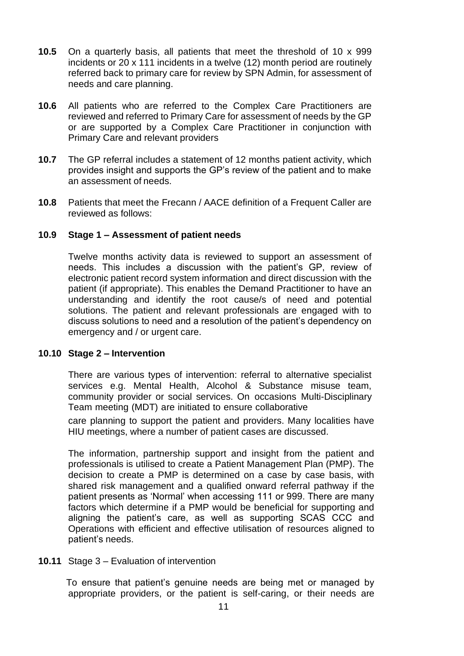- **10.5** On a quarterly basis, all patients that meet the threshold of 10 x 999 incidents or 20 x 111 incidents in a twelve (12) month period are routinely referred back to primary care for review by SPN Admin, for assessment of needs and care planning.
- **10.6** All patients who are referred to the Complex Care Practitioners are reviewed and referred to Primary Care for assessment of needs by the GP or are supported by a Complex Care Practitioner in conjunction with Primary Care and relevant providers
- **10.7** The GP referral includes a statement of 12 months patient activity, which provides insight and supports the GP's review of the patient and to make an assessment of needs.
- **10.8** Patients that meet the Frecann / AACE definition of a Frequent Caller are reviewed as follows:

#### **10.9 Stage 1 – Assessment of patient needs**

Twelve months activity data is reviewed to support an assessment of needs. This includes a discussion with the patient's GP, review of electronic patient record system information and direct discussion with the patient (if appropriate). This enables the Demand Practitioner to have an understanding and identify the root cause/s of need and potential solutions. The patient and relevant professionals are engaged with to discuss solutions to need and a resolution of the patient's dependency on emergency and / or urgent care.

#### **10.10 Stage 2 – Intervention**

There are various types of intervention: referral to alternative specialist services e.g. Mental Health, Alcohol & Substance misuse team, community provider or social services. On occasions Multi-Disciplinary Team meeting (MDT) are initiated to ensure collaborative

care planning to support the patient and providers. Many localities have HIU meetings, where a number of patient cases are discussed.

The information, partnership support and insight from the patient and professionals is utilised to create a Patient Management Plan (PMP). The decision to create a PMP is determined on a case by case basis, with shared risk management and a qualified onward referral pathway if the patient presents as 'Normal' when accessing 111 or 999. There are many factors which determine if a PMP would be beneficial for supporting and aligning the patient's care, as well as supporting SCAS CCC and Operations with efficient and effective utilisation of resources aligned to patient's needs.

**10.11** Stage 3 – Evaluation of intervention

To ensure that patient's genuine needs are being met or managed by appropriate providers, or the patient is self-caring, or their needs are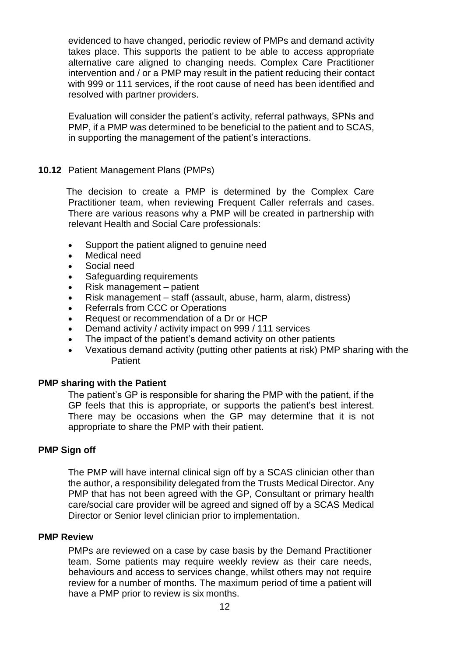evidenced to have changed, periodic review of PMPs and demand activity takes place. This supports the patient to be able to access appropriate alternative care aligned to changing needs. Complex Care Practitioner intervention and / or a PMP may result in the patient reducing their contact with 999 or 111 services, if the root cause of need has been identified and resolved with partner providers.

Evaluation will consider the patient's activity, referral pathways, SPNs and PMP, if a PMP was determined to be beneficial to the patient and to SCAS, in supporting the management of the patient's interactions.

#### **10.12** Patient Management Plans (PMPs)

The decision to create a PMP is determined by the Complex Care Practitioner team, when reviewing Frequent Caller referrals and cases. There are various reasons why a PMP will be created in partnership with relevant Health and Social Care professionals:

- Support the patient aligned to genuine need
- Medical need
- Social need
- Safeguarding requirements
- Risk management patient
- Risk management staff (assault, abuse, harm, alarm, distress)
- Referrals from CCC or Operations
- Request or recommendation of a Dr or HCP
- Demand activity / activity impact on 999 / 111 services
- The impact of the patient's demand activity on other patients
- Vexatious demand activity (putting other patients at risk) PMP sharing with the **Patient**

#### **PMP sharing with the Patient**

The patient's GP is responsible for sharing the PMP with the patient, if the GP feels that this is appropriate, or supports the patient's best interest. There may be occasions when the GP may determine that it is not appropriate to share the PMP with their patient.

#### **PMP Sign off**

The PMP will have internal clinical sign off by a SCAS clinician other than the author, a responsibility delegated from the Trusts Medical Director. Any PMP that has not been agreed with the GP, Consultant or primary health care/social care provider will be agreed and signed off by a SCAS Medical Director or Senior level clinician prior to implementation.

#### **PMP Review**

PMPs are reviewed on a case by case basis by the Demand Practitioner team. Some patients may require weekly review as their care needs, behaviours and access to services change, whilst others may not require review for a number of months. The maximum period of time a patient will have a PMP prior to review is six months.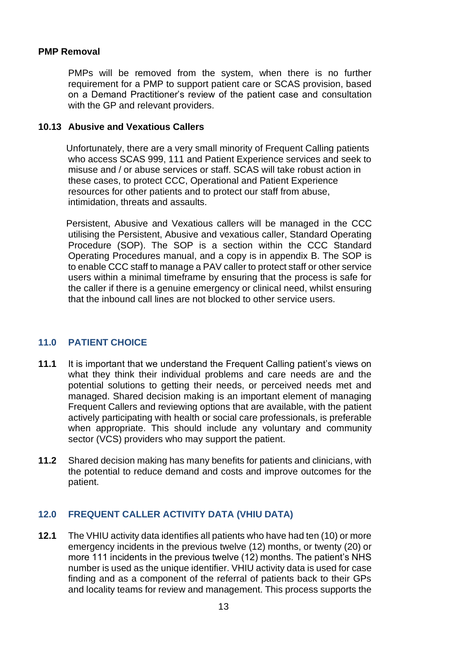#### **PMP Removal**

PMPs will be removed from the system, when there is no further requirement for a PMP to support patient care or SCAS provision, based on a Demand Practitioner's review of the patient case and consultation with the GP and relevant providers.

#### **10.13 Abusive and Vexatious Callers**

Unfortunately, there are a very small minority of Frequent Calling patients who access SCAS 999, 111 and Patient Experience services and seek to misuse and / or abuse services or staff. SCAS will take robust action in these cases, to protect CCC, Operational and Patient Experience resources for other patients and to protect our staff from abuse, intimidation, threats and assaults.

Persistent, Abusive and Vexatious callers will be managed in the CCC utilising the Persistent, Abusive and vexatious caller, Standard Operating Procedure (SOP). The SOP is a section within the CCC Standard Operating Procedures manual, and a copy is in appendix B. The SOP is to enable CCC staff to manage a PAV caller to protect staff or other service users within a minimal timeframe by ensuring that the process is safe for the caller if there is a genuine emergency or clinical need, whilst ensuring that the inbound call lines are not blocked to other service users.

#### <span id="page-12-0"></span>**11.0 PATIENT CHOICE**

- **11.1** It is important that we understand the Frequent Calling patient's views on what they think their individual problems and care needs are and the potential solutions to getting their needs, or perceived needs met and managed. Shared decision making is an important element of managing Frequent Callers and reviewing options that are available, with the patient actively participating with health or social care professionals, is preferable when appropriate. This should include any voluntary and community sector (VCS) providers who may support the patient.
- **11.2** Shared decision making has many benefits for patients and clinicians, with the potential to reduce demand and costs and improve outcomes for the patient.

# <span id="page-12-1"></span>**12.0 FREQUENT CALLER ACTIVITY DATA (VHIU DATA)**

**12.1** The VHIU activity data identifies all patients who have had ten (10) or more emergency incidents in the previous twelve (12) months, or twenty (20) or more 111 incidents in the previous twelve (12) months. The patient's NHS number is used as the unique identifier. VHIU activity data is used for case finding and as a component of the referral of patients back to their GPs and locality teams for review and management. This process supports the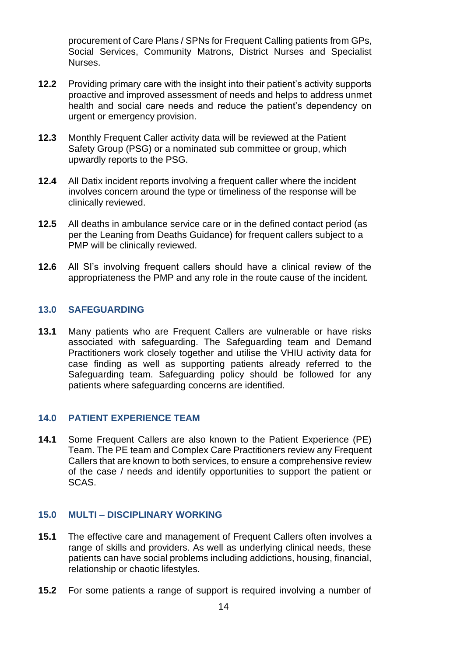procurement of Care Plans / SPNs for Frequent Calling patients from GPs, Social Services, Community Matrons, District Nurses and Specialist Nurses.

- **12.2** Providing primary care with the insight into their patient's activity supports proactive and improved assessment of needs and helps to address unmet health and social care needs and reduce the patient's dependency on urgent or emergency provision.
- **12.3** Monthly Frequent Caller activity data will be reviewed at the Patient Safety Group (PSG) or a nominated sub committee or group, which upwardly reports to the PSG.
- **12.4** All Datix incident reports involving a frequent caller where the incident involves concern around the type or timeliness of the response will be clinically reviewed.
- **12.5** All deaths in ambulance service care or in the defined contact period (as per the Leaning from Deaths Guidance) for frequent callers subject to a PMP will be clinically reviewed.
- **12.6** All SI's involving frequent callers should have a clinical review of the appropriateness the PMP and any role in the route cause of the incident.

## <span id="page-13-0"></span>**13.0 SAFEGUARDING**

**13.1** Many patients who are Frequent Callers are vulnerable or have risks associated with safeguarding. The Safeguarding team and Demand Practitioners work closely together and utilise the VHIU activity data for case finding as well as supporting patients already referred to the Safeguarding team. Safeguarding policy should be followed for any patients where safeguarding concerns are identified.

#### <span id="page-13-1"></span>**14.0 PATIENT EXPERIENCE TEAM**

**14.1** Some Frequent Callers are also known to the Patient Experience (PE) Team. The PE team and Complex Care Practitioners review any Frequent Callers that are known to both services, to ensure a comprehensive review of the case / needs and identify opportunities to support the patient or SCAS.

#### <span id="page-13-2"></span>**15.0 MULTI – DISCIPLINARY WORKING**

- **15.1** The effective care and management of Frequent Callers often involves a range of skills and providers. As well as underlying clinical needs, these patients can have social problems including addictions, housing, financial, relationship or chaotic lifestyles.
- **15.2** For some patients a range of support is required involving a number of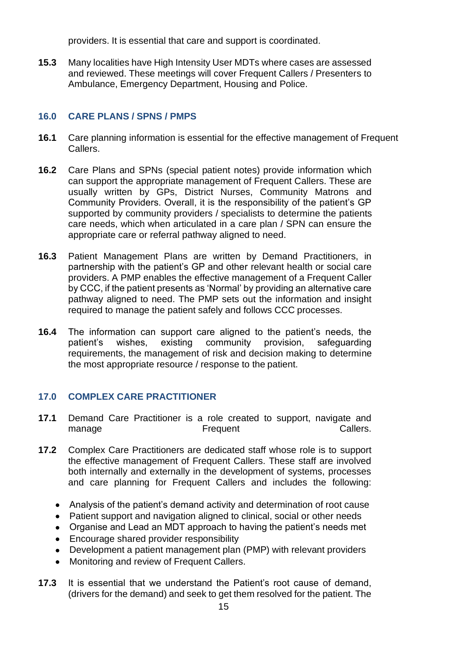providers. It is essential that care and support is coordinated.

**15.3** Many localities have High Intensity User MDTs where cases are assessed and reviewed. These meetings will cover Frequent Callers / Presenters to Ambulance, Emergency Department, Housing and Police.

## <span id="page-14-0"></span>**16.0 CARE PLANS / SPNS / PMPS**

- **16.1** Care planning information is essential for the effective management of Frequent Callers.
- **16.2** Care Plans and SPNs (special patient notes) provide information which can support the appropriate management of Frequent Callers. These are usually written by GPs, District Nurses, Community Matrons and Community Providers. Overall, it is the responsibility of the patient's GP supported by community providers / specialists to determine the patients care needs, which when articulated in a care plan / SPN can ensure the appropriate care or referral pathway aligned to need.
- **16.3** Patient Management Plans are written by Demand Practitioners, in partnership with the patient's GP and other relevant health or social care providers. A PMP enables the effective management of a Frequent Caller by CCC, if the patient presents as 'Normal' by providing an alternative care pathway aligned to need. The PMP sets out the information and insight required to manage the patient safely and follows CCC processes.
- **16.4** The information can support care aligned to the patient's needs, the patient's wishes, existing community provision, safeguarding requirements, the management of risk and decision making to determine the most appropriate resource / response to the patient.

#### **17.0 COMPLEX CARE PRACTITIONER**

- **17.1** Demand Care Practitioner is a role created to support, navigate and manage **Frequent** Frequent Callers.
- **17.2** Complex Care Practitioners are dedicated staff whose role is to support the effective management of Frequent Callers. These staff are involved both internally and externally in the development of systems, processes and care planning for Frequent Callers and includes the following:
	- Analysis of the patient's demand activity and determination of root cause
	- Patient support and navigation aligned to clinical, social or other needs
	- Organise and Lead an MDT approach to having the patient's needs met
	- Encourage shared provider responsibility
	- Development a patient management plan (PMP) with relevant providers
	- Monitoring and review of Frequent Callers.
- **17.3** It is essential that we understand the Patient's root cause of demand, (drivers for the demand) and seek to get them resolved for the patient. The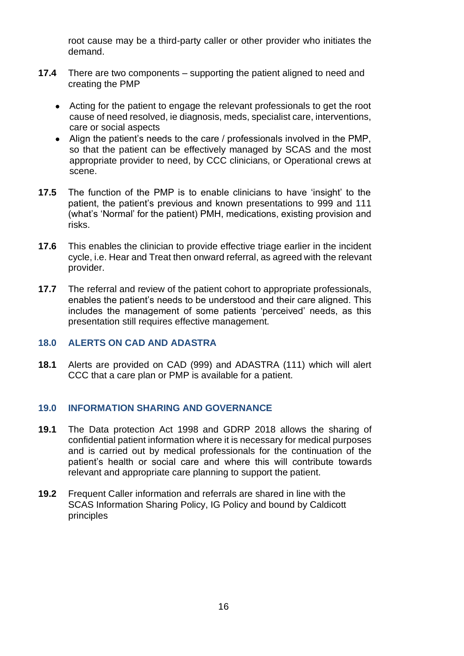root cause may be a third-party caller or other provider who initiates the demand.

- **17.4** There are two components supporting the patient aligned to need and creating the PMP
	- Acting for the patient to engage the relevant professionals to get the root cause of need resolved, ie diagnosis, meds, specialist care, interventions, care or social aspects
	- Align the patient's needs to the care / professionals involved in the PMP, so that the patient can be effectively managed by SCAS and the most appropriate provider to need, by CCC clinicians, or Operational crews at scene.
- **17.5** The function of the PMP is to enable clinicians to have 'insight' to the patient, the patient's previous and known presentations to 999 and 111 (what's 'Normal' for the patient) PMH, medications, existing provision and risks.
- **17.6** This enables the clinician to provide effective triage earlier in the incident cycle, i.e. Hear and Treat then onward referral, as agreed with the relevant provider.
- **17.7** The referral and review of the patient cohort to appropriate professionals, enables the patient's needs to be understood and their care aligned. This includes the management of some patients 'perceived' needs, as this presentation still requires effective management.

#### <span id="page-15-0"></span>**18.0 ALERTS ON CAD AND ADASTRA**

**18.1** Alerts are provided on CAD (999) and ADASTRA (111) which will alert CCC that a care plan or PMP is available for a patient.

#### <span id="page-15-1"></span>**19.0 INFORMATION SHARING AND GOVERNANCE**

- **19.1** The Data protection Act 1998 and GDRP 2018 allows the sharing of confidential patient information where it is necessary for medical purposes and is carried out by medical professionals for the continuation of the patient's health or social care and where this will contribute towards relevant and appropriate care planning to support the patient.
- **19.2** Frequent Caller information and referrals are shared in line with the SCAS Information Sharing Policy, IG Policy and bound by Caldicott principles